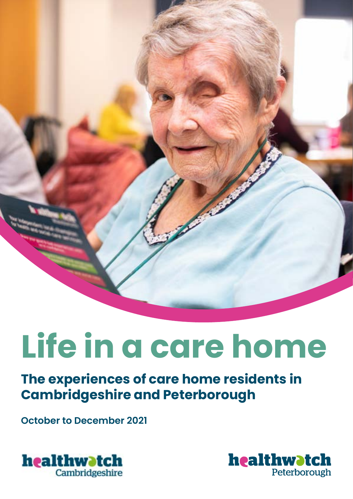

# **Life in a care home**

# **The experiences of care home residents in Cambridgeshire and Peterborough**

**October to December 2021**



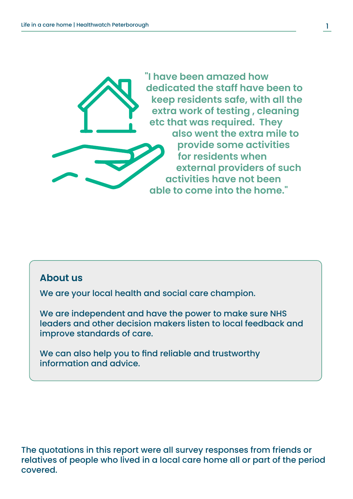

#### **About us**

We are your local health and social care champion.

We are independent and have the power to make sure NHS leaders and other decision makers listen to local feedback and improve standards of care.

We can also help you to find reliable and trustworthy information and advice.

The quotations in this report were all survey responses from friends or relatives of people who lived in a local care home all or part of the period covered.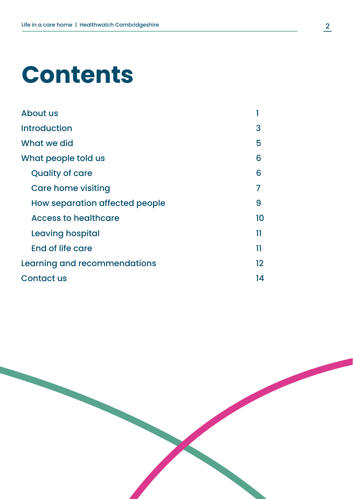# **Contents**

| About us                       |         |
|--------------------------------|---------|
| <b>Introduction</b>            | 3       |
| What we did                    | 5       |
| What people told us            | 6       |
| <b>Quality of care</b>         | 6       |
| <b>Care home visiting</b>      |         |
| How separation affected people | 9       |
| <b>Access to healthcare</b>    | 10      |
| Leaving hospital               | 11      |
| End of life care               | 11      |
| Learning and recommendations   | $12 \,$ |
| <b>Contact us</b>              | 14      |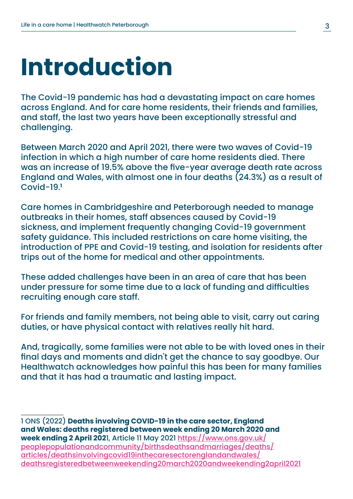# **Introduction**

The Covid-19 pandemic has had a devastating impact on care homes across England. And for care home residents, their friends and families, and staff, the last two years have been exceptionally stressful and challenging.

Between March 2020 and April 2021, there were two waves of Covid-19 infection in which a high number of care home residents died. There was an increase of 19.5% above the five-year average death rate across England and Wales, with almost one in four deaths (24.3%) as a result of Covid-19.**<sup>1</sup>**

Care homes in Cambridgeshire and Peterborough needed to manage outbreaks in their homes, staff absences caused by Covid-19 sickness, and implement frequently changing Covid-19 government safety guidance. This included restrictions on care home visiting, the introduction of PPE and Covid-19 testing, and isolation for residents after trips out of the home for medical and other appointments.

These added challenges have been in an area of care that has been under pressure for some time due to a lack of funding and difficulties recruiting enough care staff.

For friends and family members, not being able to visit, carry out caring duties, or have physical contact with relatives really hit hard.

And, tragically, some families were not able to be with loved ones in their final days and moments and didn't get the chance to say goodbye. Our Healthwatch acknowledges how painful this has been for many families and that it has had a traumatic and lasting impact.

1 ONS (2022) **Deaths involving COVID-19 in the care sector, England and Wales: deaths registered between week ending 20 March 2020 and week ending 2 April 202**1, Article 11 May 2021 [https://www.ons.gov.uk/](https://www.ons.gov.uk/peoplepopulationandcommunity/birthsdeathsandmarriages/deaths/articles/deathsinvolvingcovid19inthecaresectorenglandandwales/deathsregisteredbetweenweekending20march2020andweekending2april2021) [peoplepopulationandcommunity/birthsdeathsandmarriages/deaths/](https://www.ons.gov.uk/peoplepopulationandcommunity/birthsdeathsandmarriages/deaths/articles/deathsinvolvingcovid19inthecaresectorenglandandwales/deathsregisteredbetweenweekending20march2020andweekending2april2021) [articles/deathsinvolvingcovid19inthecaresectorenglandandwales/](https://www.ons.gov.uk/peoplepopulationandcommunity/birthsdeathsandmarriages/deaths/articles/deathsinvolvingcovid19inthecaresectorenglandandwales/deathsregisteredbetweenweekending20march2020andweekending2april2021) [deathsregisteredbetweenweekending20march2020andweekending2april2021](https://www.ons.gov.uk/peoplepopulationandcommunity/birthsdeathsandmarriages/deaths/articles/deathsinvolvingcovid19inthecaresectorenglandandwales/deathsregisteredbetweenweekending20march2020andweekending2april2021)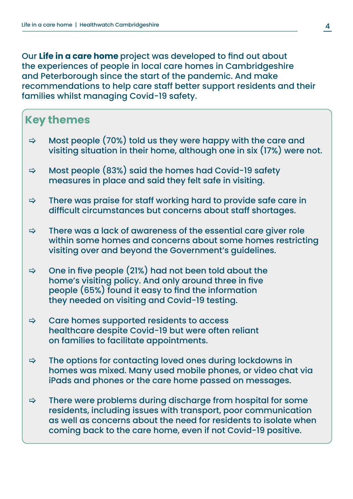Our **Life in a care home** project was developed to find out about the experiences of people in local care homes in Cambridgeshire and Peterborough since the start of the pandemic. And make recommendations to help care staff better support residents and their families whilst managing Covid-19 safety.

### **Key themes**

- $\Rightarrow$  Most people (70%) told us they were happy with the care and visiting situation in their home, although one in six (17%) were not.
- $\Rightarrow$  Most people (83%) said the homes had Covid-19 safety measures in place and said they felt safe in visiting.
- $\Rightarrow$  There was praise for staff working hard to provide safe care in difficult circumstances but concerns about staff shortages.
- $\Rightarrow$  There was a lack of awareness of the essential care giver role within some homes and concerns about some homes restricting visiting over and beyond the Government's guidelines.
- $\Rightarrow$  One in five people (21%) had not been told about the home's visiting policy. And only around three in five people (65%) found it easy to find the information they needed on visiting and Covid-19 testing.
- $\Rightarrow$  Care homes supported residents to access healthcare despite Covid-19 but were often reliant on families to facilitate appointments.
- $\Rightarrow$  The options for contacting loved ones during lockdowns in homes was mixed. Many used mobile phones, or video chat via iPads and phones or the care home passed on messages.
- $\Rightarrow$  There were problems during discharge from hospital for some residents, including issues with transport, poor communication as well as concerns about the need for residents to isolate when coming back to the care home, even if not Covid-19 positive.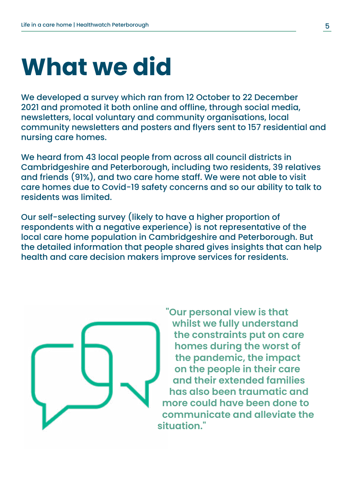# **What we did**

We developed a survey which ran from 12 October to 22 December 2021 and promoted it both online and offline, through social media, newsletters, local voluntary and community organisations, local community newsletters and posters and flyers sent to 157 residential and nursing care homes.

We heard from 43 local people from across all council districts in Cambridgeshire and Peterborough, including two residents, 39 relatives and friends (91%), and two care home staff. We were not able to visit care homes due to Covid-19 safety concerns and so our ability to talk to residents was limited.

Our self-selecting survey (likely to have a higher proportion of respondents with a negative experience) is not representative of the local care home population in Cambridgeshire and Peterborough. But the detailed information that people shared gives insights that can help health and care decision makers improve services for residents.



**"Our personal view is that whilst we fully understand the constraints put on care homes during the worst of the pandemic, the impact on the people in their care and their extended families has also been traumatic and more could have been done to communicate and alleviate the situation."**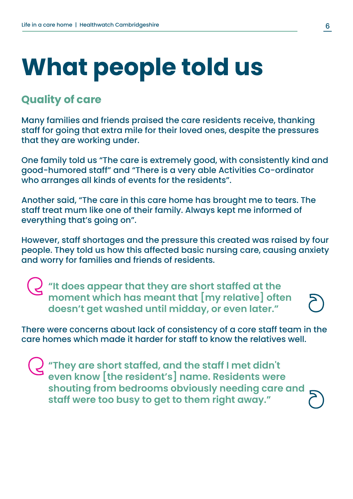# **What people told us**

#### **Quality of care**

Many families and friends praised the care residents receive, thanking staff for going that extra mile for their loved ones, despite the pressures that they are working under.

One family told us "The care is extremely good, with consistently kind and good-humored staff" and "There is a very able Activities Co-ordinator who arranges all kinds of events for the residents".

Another said, "The care in this care home has brought me to tears. The staff treat mum like one of their family. Always kept me informed of everything that's going on".

However, staff shortages and the pressure this created was raised by four people. They told us how this affected basic nursing care, causing anxiety and worry for families and friends of residents.

**"It does appear that they are short staffed at the moment which has meant that [my relative] often doesn't get washed until midday, or even later."**

There were concerns about lack of consistency of a core staff team in the care homes which made it harder for staff to know the relatives well.

**"They are short staffed, and the staff I met didn't even know [the resident's] name. Residents were shouting from bedrooms obviously needing care and staff were too busy to get to them right away."**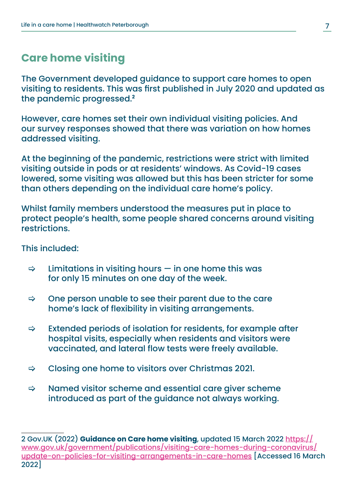## **Care home visiting**

The Government developed guidance to support care homes to open visiting to residents. This was first published in July 2020 and updated as the pandemic progressed.**<sup>2</sup>**

However, care homes set their own individual visiting policies. And our survey responses showed that there was variation on how homes addressed visiting.

At the beginning of the pandemic, restrictions were strict with limited visiting outside in pods or at residents' windows. As Covid-19 cases lowered, some visiting was allowed but this has been stricter for some than others depending on the individual care home's policy.

Whilst family members understood the measures put in place to protect people's health, some people shared concerns around visiting restrictions.

This included:

- $\Rightarrow$  Limitations in visiting hours  $-$  in one home this was for only 15 minutes on one day of the week.
- > One person unable to see their parent due to the care home's lack of flexibility in visiting arrangements.
- $\Rightarrow$  Extended periods of isolation for residents, for example after hospital visits, especially when residents and visitors were vaccinated, and lateral flow tests were freely available.
- $\Rightarrow$  Closing one home to visitors over Christmas 2021.
- $\Rightarrow$  Named visitor scheme and essential care giver scheme introduced as part of the guidance not always working.

<sup>2</sup> Gov.UK (2022) **Guidance on Care home visiting**, updated 15 March 2022 [https://](https://www.gov.uk/government/publications/visiting-care-homes-during-coronavirus/update-on-policies-for-visiting-arrangements-in-care-homes) [www.gov.uk/government/publications/visiting-care-homes-during-coronavirus/](https://www.gov.uk/government/publications/visiting-care-homes-during-coronavirus/update-on-policies-for-visiting-arrangements-in-care-homes) [update-on-policies-for-visiting-arrangements-in-care-homes](https://www.gov.uk/government/publications/visiting-care-homes-during-coronavirus/update-on-policies-for-visiting-arrangements-in-care-homes) [Accessed 16 March 2022]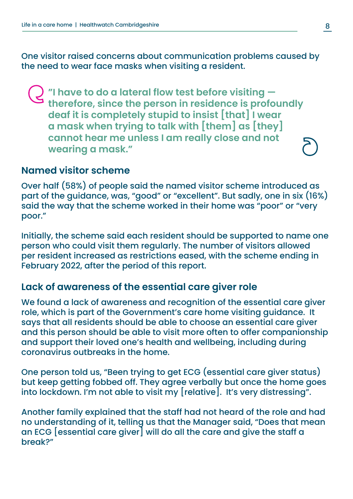One visitor raised concerns about communication problems caused by the need to wear face masks when visiting a resident.

**"I have to do a lateral flow test before visiting therefore, since the person in residence is profoundly deaf it is completely stupid to insist [that] I wear a mask when trying to talk with [them] as [they] cannot hear me unless I am really close and not wearing a mask."**

#### **Named visitor scheme**

Over half (58%) of people said the named visitor scheme introduced as part of the guidance, was, "good" or "excellent". But sadly, one in six (16%) said the way that the scheme worked in their home was "poor" or "very poor."

Initially, the scheme said each resident should be supported to name one person who could visit them regularly. The number of visitors allowed per resident increased as restrictions eased, with the scheme ending in February 2022, after the period of this report.

#### **Lack of awareness of the essential care giver role**

We found a lack of awareness and recognition of the essential care giver role, which is part of the Government's care home visiting guidance. It says that all residents should be able to choose an essential care giver and this person should be able to visit more often to offer companionship and support their loved one's health and wellbeing, including during coronavirus outbreaks in the home.

One person told us, "Been trying to get ECG (essential care giver status) but keep getting fobbed off. They agree verbally but once the home goes into lockdown. I'm not able to visit my [relative]. It's very distressing".

Another family explained that the staff had not heard of the role and had no understanding of it, telling us that the Manager said, "Does that mean an ECG [essential care giver] will do all the care and give the staff a break?"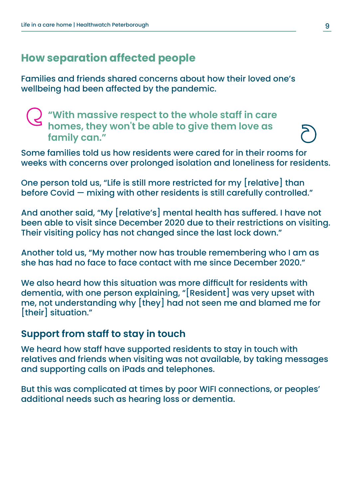# **How separation affected people**

Families and friends shared concerns about how their loved one's wellbeing had been affected by the pandemic.

**"With massive respect to the whole staff in care homes, they won't be able to give them love as family can."**

Some families told us how residents were cared for in their rooms for weeks with concerns over prolonged isolation and loneliness for residents.

One person told us, "Life is still more restricted for my [relative] than before Covid — mixing with other residents is still carefully controlled."

And another said, "My [relative's] mental health has suffered. I have not been able to visit since December 2020 due to their restrictions on visiting. Their visiting policy has not changed since the last lock down."

Another told us, "My mother now has trouble remembering who I am as she has had no face to face contact with me since December 2020."

We also heard how this situation was more difficult for residents with dementia, with one person explaining, "[Resident] was very upset with me, not understanding why [they] had not seen me and blamed me for [their] situation."

#### **Support from staff to stay in touch**

We heard how staff have supported residents to stay in touch with relatives and friends when visiting was not available, by taking messages and supporting calls on iPads and telephones.

But this was complicated at times by poor WIFI connections, or peoples' additional needs such as hearing loss or dementia.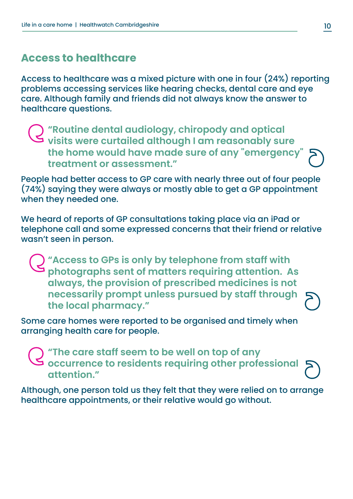### **Access to healthcare**

Access to healthcare was a mixed picture with one in four (24%) reporting problems accessing services like hearing checks, dental care and eye care. Although family and friends did not always know the answer to healthcare questions.

**"Routine dental audiology, chiropody and optical visits were curtailed although I am reasonably sure the home would have made sure of any "emergency" treatment or assessment."**

People had better access to GP care with nearly three out of four people (74%) saying they were always or mostly able to get a GP appointment when they needed one.

We heard of reports of GP consultations taking place via an iPad or telephone call and some expressed concerns that their friend or relative wasn't seen in person.

**"Access to GPs is only by telephone from staff with photographs sent of matters requiring attention. As always, the provision of prescribed medicines is not necessarily prompt unless pursued by staff through the local pharmacy."**

Some care homes were reported to be organised and timely when arranging health care for people.

**"The care staff seem to be well on top of any occurrence to residents requiring other professional attention."**

Although, one person told us they felt that they were relied on to arrange healthcare appointments, or their relative would go without.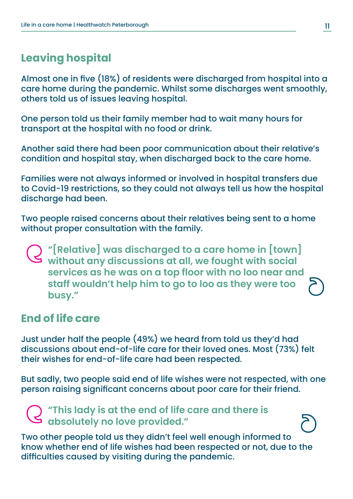# **Leaving hospital**

Almost one in five (18%) of residents were discharged from hospital into a care home during the pandemic. Whilst some discharges went smoothly, others told us of issues leaving hospital.

One person told us their family member had to wait many hours for transport at the hospital with no food or drink.

Another said there had been poor communication about their relative's condition and hospital stay, when discharged back to the care home.

Families were not always informed or involved in hospital transfers due to Covid-19 restrictions, so they could not always tell us how the hospital discharge had been.

Two people raised concerns about their relatives being sent to a home without proper consultation with the family.

**"[Relative] was discharged to a care home in [town] without any discussions at all, we fought with social services as he was on a top floor with no loo near and staff wouldn't help him to go to loo as they were too busy."**

### **End of life care**

Just under half the people (49%) we heard from told us they'd had discussions about end-of-life care for their loved ones. Most (73%) felt their wishes for end-of-life care had been respected.

But sadly, two people said end of life wishes were not respected, with one person raising significant concerns about poor care for their friend.

**"This lady is at the end of life care and there is absolutely no love provided."**

Two other people told us they didn't feel well enough informed to know whether end of life wishes had been respected or not, due to the difficulties caused by visiting during the pandemic.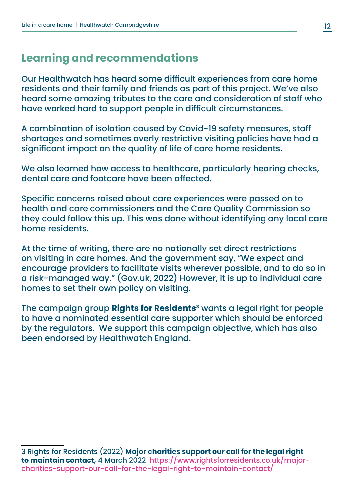## **Learning and recommendations**

Our Healthwatch has heard some difficult experiences from care home residents and their family and friends as part of this project. We've also heard some amazing tributes to the care and consideration of staff who have worked hard to support people in difficult circumstances.

A combination of isolation caused by Covid-19 safety measures, staff shortages and sometimes overly restrictive visiting policies have had a significant impact on the quality of life of care home residents.

We also learned how access to healthcare, particularly hearing checks, dental care and footcare have been affected.

Specific concerns raised about care experiences were passed on to health and care commissioners and the Care Quality Commission so they could follow this up. This was done without identifying any local care home residents.

At the time of writing, there are no nationally set direct restrictions on visiting in care homes. And the government say, "We expect and encourage providers to facilitate visits wherever possible, and to do so in a risk-managed way." (Gov.uk, 2022) However, it is up to individual care homes to set their own policy on visiting.

The campaign group **Rights for Residents**<sup>3</sup> wants a legal right for people to have a nominated essential care supporter which should be enforced by the regulators. We support this campaign objective, which has also been endorsed by Healthwatch England.

<sup>3</sup> Rights for Residents (2022) **Major charities support our call for the legal right to maintain contact,** 4 March 2022 [https://www.rightsforresidents.co.uk/major](https://www.rightsforresidents.co.uk/major-charities-support-our-call-for-the-legal-right-to-maintain-contact/)[charities-support-our-call-for-the-legal-right-to-maintain-contact/](https://www.rightsforresidents.co.uk/major-charities-support-our-call-for-the-legal-right-to-maintain-contact/)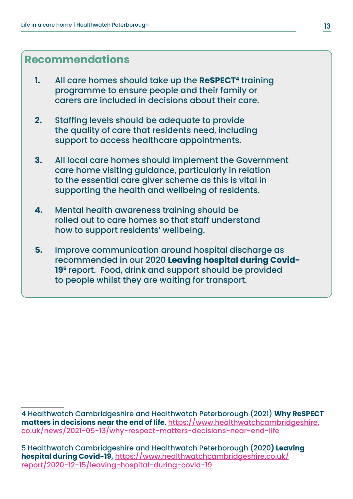### **Recommendations**

- **1.** All care homes should take up the **ReSPECT4** training programme to ensure people and their family or carers are included in decisions about their care.
- **2.** Staffing levels should be adequate to provide the quality of care that residents need, including support to access healthcare appointments.
- **3.** All local care homes should implement the Government care home visiting guidance, particularly in relation to the essential care giver scheme as this is vital in supporting the health and wellbeing of residents.
- **4.** Mental health awareness training should be rolled out to care homes so that staff understand how to support residents' wellbeing.
- **5.** Improve communication around hospital discharge as recommended in our 2020 **Leaving hospital during Covid-195** report. Food, drink and support should be provided to people whilst they are waiting for transport.

5 Healthwatch Cambridgeshire and Healthwatch Peterborough (2020**) Leaving hospital during Covid-19,** [https://www.healthwatchcambridgeshire.co.uk/](https://www.healthwatchcambridgeshire.co.uk/report/2020-12-15/leaving-hospital-during-covid-19) [report/2020-12-15/leaving-hospital-during-covid-19](https://www.healthwatchcambridgeshire.co.uk/report/2020-12-15/leaving-hospital-during-covid-19)

<sup>4</sup> Healthwatch Cambridgeshire and Healthwatch Peterborough (2021) **Why ReSPECT matters in decisions near the end of life**, [https://www.healthwatchcambridgeshire.](https://www.healthwatchcambridgeshire.co.uk/news/2021-05-13/why-respect-matters-decisions-near-end-life) [co.uk/news/2021-05-13/why-respect-matters-decisions-near-end-life](https://www.healthwatchcambridgeshire.co.uk/news/2021-05-13/why-respect-matters-decisions-near-end-life)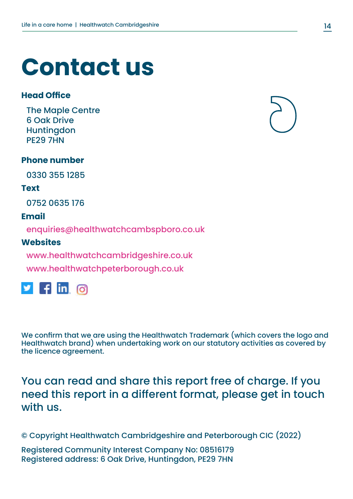# **Contact us**

#### **Head Office**

The Maple Centre 6 Oak Drive **Huntingdon** PE29 7HN

#### **Phone number**

0330 355 1285

#### **Text**

0752 0635 176

#### **Email**

enquiries@healthwatchcambspboro.co.uk

#### **Websites**

www.healthwatchcambridgeshire.co.uk www.healthwatchpeterborough.co.uk



We confirm that we are using the Healthwatch Trademark (which covers the logo and Healthwatch brand) when undertaking work on our statutory activities as covered by the licence agreement.

You can read and share this report free of charge. If you need this report in a different format, please get in touch with us.

© Copyright Healthwatch Cambridgeshire and Peterborough CIC (2022)

Registered Community Interest Company No: 08516179 Registered address: 6 Oak Drive, Huntingdon, PE29 7HN